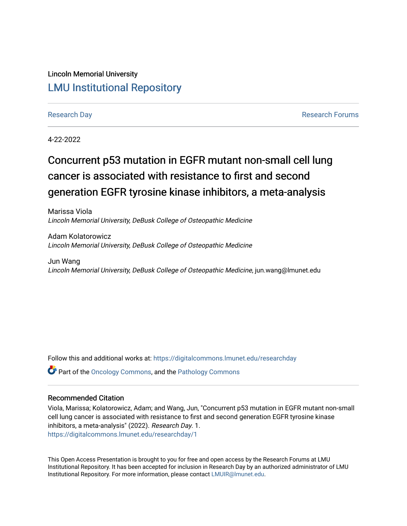#### Lincoln Memorial University [LMU Institutional Repository](https://digitalcommons.lmunet.edu/)

[Research Day](https://digitalcommons.lmunet.edu/researchday) **Research Day** [Research Forums](https://digitalcommons.lmunet.edu/researchforums) **Research Forums Research Forums** 

4-22-2022

#### Concurrent p53 mutation in EGFR mutant non-small cell lung cancer is associated with resistance to first and second generation EGFR tyrosine kinase inhibitors, a meta-analysis

Marissa Viola Lincoln Memorial University, DeBusk College of Osteopathic Medicine

Adam Kolatorowicz Lincoln Memorial University, DeBusk College of Osteopathic Medicine

Jun Wang Lincoln Memorial University, DeBusk College of Osteopathic Medicine, jun.wang@lmunet.edu

Follow this and additional works at: [https://digitalcommons.lmunet.edu/researchday](https://digitalcommons.lmunet.edu/researchday?utm_source=digitalcommons.lmunet.edu%2Fresearchday%2F1&utm_medium=PDF&utm_campaign=PDFCoverPages)

Part of the [Oncology Commons,](http://network.bepress.com/hgg/discipline/694?utm_source=digitalcommons.lmunet.edu%2Fresearchday%2F1&utm_medium=PDF&utm_campaign=PDFCoverPages) and the [Pathology Commons](http://network.bepress.com/hgg/discipline/699?utm_source=digitalcommons.lmunet.edu%2Fresearchday%2F1&utm_medium=PDF&utm_campaign=PDFCoverPages) 

#### Recommended Citation

Viola, Marissa; Kolatorowicz, Adam; and Wang, Jun, "Concurrent p53 mutation in EGFR mutant non-small cell lung cancer is associated with resistance to first and second generation EGFR tyrosine kinase inhibitors, a meta-analysis" (2022). Research Day. 1. [https://digitalcommons.lmunet.edu/researchday/1](https://digitalcommons.lmunet.edu/researchday/1?utm_source=digitalcommons.lmunet.edu%2Fresearchday%2F1&utm_medium=PDF&utm_campaign=PDFCoverPages)

This Open Access Presentation is brought to you for free and open access by the Research Forums at LMU Institutional Repository. It has been accepted for inclusion in Research Day by an authorized administrator of LMU Institutional Repository. For more information, please contact [LMUIR@lmunet.edu.](mailto:LMUIR@lmunet.edu)